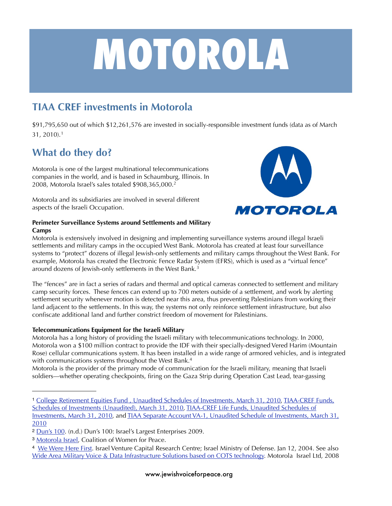# **MOTOROLA**

# **TIAA CREF investments in Motorola**

\$91,795,650 out of which \$12,261,576 are invested in socially-responsible investment funds (data as of March 31, 2010).[1](#page-0-0)

# **What do they do?**

Motorola is one of the largest multinational telecommunications companies in the world, and is based in Schaumburg, Illinois. In 2008, Motorola Israel's sales totaled \$908,365,000[.2](#page-0-1)

Motorola and its subsidiaries are involved in several different aspects of the Israeli Occupation.



#### **Perimeter Surveillance Systems around Settlements and Military Camps**

Motorola is extensively involved in designing and implementing surveillance systems around illegal Israeli settlements and military camps in the occupied West Bank. Motorola has created at least four surveillance systems to "protect" dozens of illegal Jewish-only settlements and military camps throughout the West Bank. For example, Motorola has created the Electronic Fence Radar System (EFRS), which is used as a "virtual fence" around dozens of Jewish-only settlements in the West Bank.[3](#page-0-2)

The "fences" are in fact a series of radars and thermal and optical cameras connected to settlement and military camp security forces. These fences can extend up to 700 meters outside of a settlement, and work by alerting settlement security whenever motion is detected near this area, thus preventing Palestinians from working their land adjacent to the settlements. In this way, the systems not only reinforce settlement infrastructure, but also confiscate additional land and further constrict freedom of movement for Palestinians.

#### **Telecommunications Equipment for the Israeli Military**

Motorola has a long history of providing the Israeli military with telecommunications technology. In 2000, Motorola won a \$100 million contract to provide the IDF with their specially-designed Vered Harim (Mountain Rose) cellular communications system. It has been installed in a wide range of armored vehicles, and is integrated with communications systems throughout the West Bank.<sup>4</sup>

Motorola is the provider of the primary mode of communication for the Israeli military, meaning that Israeli soldiers—whether operating checkpoints, firing on the Gaza Strip during Operation Cast Lead, tear-gassing

<span id="page-0-2"></span><sup>3</sup> [Motorola Israel,](http://www.whoprofits.org/Company%2520Info.php?id=544) Coalition of Women for Peace.

<span id="page-0-0"></span><sup>1</sup> [College Retirement Equities Fund , Unaudited Schedules of Investments, March 31, 2010,](http://www.tiaa-cref.org/public/pdf/reports/cref/cref_soi.pdf) [TIAA-CREF Funds,](http://www.tiaa-cref.org/public/pdf/reports/imf/inst_imf_soi.pdf)  [Schedules of Investments \(Unaudited\), March 31, 2010](http://www.tiaa-cref.org/public/pdf/reports/imf/inst_imf_soi.pdf), TIAA-CREF Life Funds, Unaudited Schedules of [Investments, March 31, 2010](http://www.tiaa-cref.org/public/pdf/reports/life/lifefunds_soi.pdf), and [TIAA Separate Account VA-1, Unaudited Schedule of Investments, March 31,](http://www.tiaa-cref.org/public/pdf/reports/tiaa/va-1_soi.pdf)  [2010](http://www.tiaa-cref.org/public/pdf/reports/tiaa/va-1_soi.pdf)

<span id="page-0-1"></span><sup>2</sup> [Dun's 100.](http://duns100.dundb.co.il/ts.cgi?tsscript=comp_eng&duns=600020978) (n.d.) Dun's 100: Israel's Largest Enterprises 2009.

<span id="page-0-3"></span><sup>4</sup> [We Were Here First.](http://www2.ivc-online.com/ivcWeeklyItem.asp?articleID=2511) Israel Venture Capital Research Centre; Israel Ministry of Defense. Jan 12, 2004. See also [Wide Area Military Voice & Data Infrastructure Solutions based on COTS technology](http://www.sibat.mod.gov.il/NR/rdonlyres/46327BB3-3E46-42E7-B459-ACA055C6F97D/0/sod_motorolad_dsd_.pdf). Motorola Israel Ltd, 2008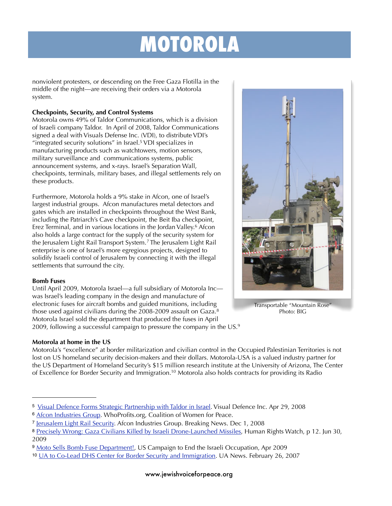# **MOTOROLA**

nonviolent protesters, or descending on the Free Gaza Flotilla in the middle of the night—are receiving their orders via a Motorola system.

#### **Checkpoints, Security, and Control Systems**

Motorola owns 49% of Taldor Communications, which is a division of Israeli company Taldor. In April of 2008, Taldor Communications signed a deal with Visuals Defense Inc. (VDI), to distribute VDI's "integrated security solutions" in Israel[.5](#page-1-0) VDI specializes in manufacturing products such as watchtowers, motion sensors, military surveillance and communications systems, public announcement systems, and x-rays. Israel's Separation Wall, checkpoints, terminals, military bases, and illegal settlements rely on these products.

Furthermore, Motorola holds a 9% stake in Afcon, one of Israel's largest industrial groups. Afcon manufactures metal detectors and gates which are installed in checkpoints throughout the West Bank, including the Patriarch's Cave checkpoint, the Beit Iba checkpoint, Erez Terminal, and in various locations in the Jordan Valley[.6](#page-1-1) Afcon also holds a large contract for the supply of the security system for the Jerusalem Light Rail Transport System.<sup>[7](#page-1-2)</sup> The Jerusalem Light Rail enterprise is one of Israel's more egregious projects, designed to solidify Israeli control of Jerusalem by connecting it with the illegal settlements that surround the city.

#### **Bomb Fuses**

Until April 2009, Motorola Israel—a full subsidiary of Motorola Inc was Israel's leading company in the design and manufacture of electronic fuses for aircraft bombs and guided munitions, including those used against civilians during the 2008-2009 assault on Gaza.<sup>8</sup> Motorola Israel sold the department that produced the fuses in April 2009, following a successful campaign to pressure the company in the US.<sup>9</sup>

#### **Motorola at home in the US**

Motorola's "excellence" at border militarization and civilian control in the Occupied Palestinian Territories is not lost on US homeland security decision-makers and their dollars. Motorola-USA is a valued industry partner for the US Department of Homeland Security's \$15 million research institute at the University of Arizona, The Center of Excellence for Border Security and Immigration.<sup>10</sup> Motorola also holds contracts for providing its Radio



Transportable "Mountain Rose" Photo: BIG

<span id="page-1-0"></span><sup>5</sup> [Visual Defence Forms Strategic Partnership with Taldor in Israel](http://www.visualdefence.com/042908_PR_Taldor.htm). Visual Defence Inc. Apr 29, 2008

<span id="page-1-1"></span><sup>&</sup>lt;sup>6</sup> [Afcon Industries Group.](http://www.whoprofits.org/Company%2520Info.php?id=569) WhoProfits.org, Coalition of Women for Peace.

<span id="page-1-2"></span><sup>&</sup>lt;sup>7</sup> [Jerusalem Light Rail Security](http://www.afcon-ind.co.il/AfconInd/Templates/ShowPage.asp?DBID=1&LNGID=1&TMID=10000&FID=379). Afcon Industries Group. Breaking News. Dec 1, 2008

<span id="page-1-3"></span><sup>8</sup> [Precisely Wrong: Gaza Civilians Killed by Israeli Drone-Launched Missiles,](http://www.hrw.org/en/reports/2009/06/30/precisely-wrong-0) Human Rights Watch, p 12. Jun 30, 2009

<span id="page-1-4"></span><sup>9</sup> [Moto Sells Bomb Fuse Department!,](http://www.endtheoccupation.org/article.php?id=1939) US Campaign to End the Israeli Occupation, Apr 2009

<span id="page-1-5"></span><sup>10</sup> [UA to Co-Lead DHS Center for Border Security and Immigration.](http://uanews.org/node/18515) UA News. February 26, 2007